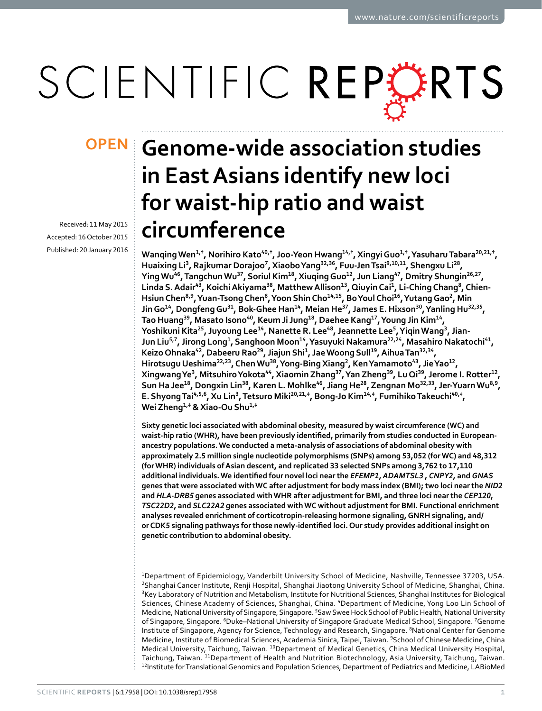# SCIENTIFIC REPERTS

Received: 11 May 2015 accepted: 16 October 2015 Published: 20 January 2016

## **Genome-wide association studies OPENin East Asians identify new loci for waist-hip ratio and waist circumference**

Wanqing Wen $^{1,\dagger},$  Norihiro Kato $^{40,\dagger},$  Joo-Yeon Hwang $^{14,\dagger},$  Xingyi Guo $^{1,\dagger},$  Yasuharu Tabara $^{20,21,\dagger},$ **Huaixing Li<sup>3</sup>, Rajkumar Dorajoo<sup>7</sup>, XiaoboYang<sup>32</sup>,<sup>36</sup>, Fuu-JenTsai<sup>9</sup>,10,<sup>11</sup>, Shengxu Li<sup>28</sup>, YingWu<sup>46</sup>, TangchunWu<sup>37</sup>, Soriul Kim<sup>18</sup>, XiuqingGuo<sup>12</sup>, Jun Liang<sup>47</sup>, Dmitry Shungin<sup>26</sup>,<sup>27</sup>, Linda S.Adair<sup>43</sup>, KoichiAkiyama<sup>38</sup>, MatthewAllison<sup>13</sup>, QiuyinCai<sup>1</sup>, Li-ChingChang<sup>8</sup>, Chien-Hsiun Chen<sup>8</sup>,<sup>9</sup>, Yuan-TsongChen<sup>8</sup>, Yoon ShinCho<sup>14</sup>,<sup>15</sup>, Bo Youl Choi<sup>16</sup>, YutangGao<sup>2</sup>, Min**  Jin Go<sup>14</sup>, Dongfeng Gu<sup>31</sup>, Bok-Ghee Han<sup>14</sup>, Meian He<sup>37</sup>, James E. Hixson<sup>30</sup>, Yanling Hu<sup>32,35</sup>, **Tao Huang<sup>39</sup>, Masato Isono<sup>40</sup>, Keum Ji Jung<sup>18</sup>, Daehee Kang<sup>17</sup>, Young Jin Kim<sup>14</sup>, Yoshikuni Kita<sup>25</sup>, Juyoung Lee<sup>14</sup>, Nanette R. Lee<sup>48</sup>, Jeannette Lee<sup>5</sup>, YiqinWang<sup>3</sup>, Jian-**Jun Liu<sup>5,7</sup>, Jirong Long<sup>1</sup>, Sanghoon Moon<sup>14</sup>, Yasuyuki Nakamura<sup>22,24</sup>, Masahiro Nakatochi<sup>41</sup>, **KeizoOhnaka<sup>42</sup>, Dabeeru Rao<sup>29</sup>, Jiajun Shi<sup>1</sup>, Jae Woong Sull<sup>19</sup>, AihuaTan<sup>32</sup>,<sup>34</sup>, Hirotsugu Ueshima<sup>22</sup>,<sup>23</sup>, ChenWu<sup>38</sup>, Yong-BingXiang<sup>2</sup>, KenYamamoto<sup>43</sup>, JieYao<sup>12</sup>, XingwangYe<sup>3</sup>, MitsuhiroYokota<sup>44</sup>, XiaominZhang<sup>37</sup>, Yan Zheng<sup>39</sup>, LuQi<sup>39</sup>, Jerome I. Rotter<sup>12</sup>,**  Sun Ha Jee<sup>18</sup>, Dongxin Lin<sup>38</sup>, Karen L. Mohlke<sup>46</sup>, Jiang He<sup>28</sup>, Zengnan Mo<sup>32,33</sup>, Jer-Yuarn Wu<sup>8,9</sup>, E. Shyong Tai<sup>4,5,6</sup>, Xu Lin<sup>3</sup>, Tetsuro Miki<sup>20,21,‡</sup>, Bong-Jo Kim<sup>14,‡</sup>, Fumihiko Takeuchi<sup>40,‡</sup>, **Wei Zheng<sup>1</sup>,‡ & Xiao-Ou Shu<sup>1</sup>,‡**

**Sixty genetic loci associated with abdominal obesity, measured by waist circumference (WC) and waist-hip ratio (WHR), have been previously identified, primarily from studies conducted in Europeanancestry populations. We conducted a meta-analysis of associations of abdominal obesity with approximately 2.5 million single nucleotide polymorphisms (SNPs) among 53,052 (for WC) and 48,312 (for WHR) individuals of Asian descent, and replicated 33 selected SNPs among 3,762 to 17,110 additional individuals. We identified four novel loci near the** *EFEMP1, ADAMTSL3* **,** *CNPY2***, and** *GNAS* **genes that were associated with WC after adjustment for body mass index (BMI); two loci near the** *NID2* **and** *HLA-DRB5* **genes associated with WHR after adjustment for BMI, and three loci near the** *CEP120***,**  *TSC22D2***, and** *SLC22A2* **genes associated with WC without adjustment for BMI. Functional enrichment analyses revealed enrichment of corticotropin-releasing hormone signaling, GNRH signaling, and/ or CDK5 signaling pathways for those newly-identified loci. Our study provides additional insight on genetic contribution to abdominal obesity.**

1Department of Epidemiology, Vanderbilt University School of Medicine, Nashville, Tennessee 37203, USA. 2Shanghai Cancer Institute, Renji Hospital, Shanghai Jiaotong University School of Medicine, Shanghai, China. <sup>3</sup>Key Laboratory of Nutrition and Metabolism, Institute for Nutritional Sciences, Shanghai Institutes for Biological Sciences, Chinese Academy of Sciences, Shanghai, China. 4Department of Medicine, Yong Loo Lin School of Medicine, National University of Singapore, Singapore. <sup>5</sup>Saw Swee Hock School of Public Health, National University of Singapore, Singapore. <sup>6</sup>Duke–National University of Singapore Graduate Medical School, Singapore. <sup>7</sup>Genome Institute of Singapore, Agency for Science, Technology and Research, Singapore. <sup>8</sup>National Center for Genome Medicine, Institute of Biomedical Sciences, Academia Sinica, Taipei, Taiwan. 9School of Chinese Medicine, China Medical University, Taichung, Taiwan. 10Department of Medical Genetics, China Medical University Hospital, Taichung, Taiwan. <sup>11</sup>Department of Health and Nutrition Biotechnology, Asia University, Taichung, Taiwan.<br><sup>12</sup>Institute for Translational Genomics and Population Sciences, Department of Pediatrics and Medicine, LABioMed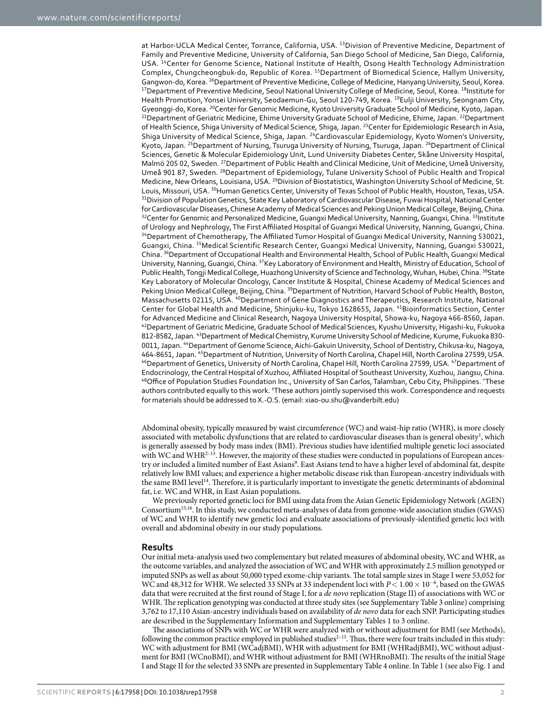at Harbor-UCLA Medical Center, Torrance, California, USA. <sup>13</sup>Division of Preventive Medicine, Department of Family and Preventive Medicine, University of California, San Diego School of Medicine, San Diego, California, USA. 14Center for Genome Science, National Institute of Health, Osong Health Technology Administration Complex, Chungcheongbuk-do, Republic of Korea. <sup>15</sup>Department of Biomedical Science, Hallym University, Gangwon-do, Korea. <sup>16</sup>Department of Preventive Medicine, College of Medicine, Hanyang University, Seoul, Korea.<br><sup>17</sup>Department of Preventive Medicine, Seoul National University College of Medicine, Seoul, Korea. <sup>18</sup>Insti Health Promotion, Yonsei University, Seodaemun-Gu, Seoul 120-749, Korea. <sup>19</sup>Eulji University, Seongnam City, Gyeonggi-do, Korea. <sup>20</sup>Center for Genomic Medicine, Kyoto University Graduate School of Medicine, Kyoto, Japan.<br><sup>21</sup>Department of Geriatric Medicine, Ehime University Graduate School of Medicine, Ehime, Japan. <sup>22</sup>Departm of Health Science, Shiga University of Medical Science, Shiga, Japan. 23Center for Epidemiologic Research in Asia, Shiga University of Medical Science, Shiga, Japan. 24Cardiovascular Epidemiology, Kyoto Women's University, Kyoto, Japan. <sup>25</sup>Department of Nursing, Tsuruga University of Nursing, Tsuruga, Japan. <sup>26</sup>Department of Clinical Sciences, Genetic & Molecular Epidemiology Unit, Lund University Diabetes Center, Skåne University Hospital, Malmö 205 02, Sweden. 27Department of Public Health and Clinical Medicine, Unit of Medicine, Umeå University, Umeå 901 87, Sweden. 28Department of Epidemiology, Tulane University School of Public Health and Tropical Medicine, New Orleans, Louisiana, USA. 29Division of Biostatistics, Washington University School of Medicine, St. Louis, Missouri, USA. <sup>30</sup>Human Genetics Center, University of Texas School of Public Health, Houston, Texas, USA.<br><sup>31</sup>Division of Population Genetics, State Key Laboratory of Cardiovascular Disease, Fuwai Hospital, Nation for Cardiovascular Diseases, Chinese Academy of Medical Sciences and Peking Union Medical College, Beijing, China. <sup>32</sup>Center for Genomic and Personalized Medicine, Guangxi Medical University, Nanning, Guangxi, China. <sup>33</sup>Institute of Urology and Nephrology, The First Affiliated Hospital of Guangxi Medical University, Nanning, Guangxi, China. <sup>34</sup> Department of Chemotherapy, The Affiliated Tumor Hospital of Guangxi Medical University, Nanning 530021, Guangxi, China. 35Medical Scientific Research Center, Guangxi Medical University, Nanning, Guangxi 530021, China. 36Department of Occupational Health and Environmental Health, School of Public Health, Guangxi Medical University, Nanning, Guangxi, China. 37Key Laboratory of Environment and Health, Ministry of Education, School of Public Health, Tongji Medical College, Huazhong University of Science and Technology, Wuhan, Hubei, China. <sup>38</sup>State Key Laboratory of Molecular Oncology, Cancer Institute & Hospital, Chinese Academy of Medical Sciences and Peking Union Medical College, Beijing, China. <sup>39</sup>Department of Nutrition, Harvard School of Public Health, Boston, Massachusetts 02115, USA. 40Department of Gene Diagnostics and Therapeutics, Research Institute, National Center for Global Health and Medicine, Shinjuku-ku, Tokyo 1628655, Japan. 41Bioinformatics Section, Center for Advanced Medicine and Clinical Research, Nagoya University Hospital, Showa-ku, Nagoya 466-8560, Japan. <sup>42</sup>Department of Geriatric Medicine, Graduate School of Medical Sciences, Kyushu University, Higashi-ku, Fukuoka 812-8582, Japan. 43Department of Medical Chemistry, Kurume University School of Medicine, Kurume, Fukuoka 830- 0011, Japan. <sup>44</sup>Department of Genome Science, Aichi-Gakuin University, School of Dentistry, Chikusa-ku, Nagoya,<br>464-8651, Japan. <sup>45</sup>Department of Nutrition, University of North Carolina, Chapel Hill, North Carolina 27599 <sup>46</sup>Department of Genetics, University of North Carolina, Chapel Hill, North Carolina 27599, USA. <sup>47</sup>Department of Endocrinology, the Central Hospital of Xuzhou, Affiliated Hospital of Southeast University, Xuzhou, Jiangsu, China. <sup>48</sup>Office of Population Studies Foundation Inc., University of San Carlos, Talamban, Cebu City, Philippines. <sup>†</sup>These authors contributed equally to this work. <sup>\*</sup>These authors jointly supervised this work. Correspondence and requests for materials should be addressed to X.-O.S. (email: [xiao-ou.shu@vanderbilt.edu\)](mailto:at xiao-ou.shu@vanderbilt.edu)

Abdominal obesity, typically measured by waist circumference (WC) and waist-hip ratio (WHR), is more closely associated with metabolic dysfunctions that are related to cardiovascular diseases than is general obesity<sup>[1](#page-6-0)</sup>, which is generally assessed by body mass index (BMI). Previous studies have identified multiple genetic loci associated with WC and WHR<sup>2–13</sup>. However, the majority of these studies were conducted in populations of European ances-try or included a limited number of East Asians<sup>[9](#page-6-2)</sup>. East Asians tend to have a higher level of abdominal fat, despite relatively low BMI values; and experience a higher metabolic disease risk than European-ancestry individuals with the same BMI level<sup>[14](#page-6-3)</sup>. Therefore, it is particularly important to investigate the genetic determinants of abdominal fat, i.e. WC and WHR, in East Asian populations.

We previously reported genetic loci for BMI using data from the Asian Genetic Epidemiology Network (AGEN) Consortium[15](#page-6-4),[16](#page-6-5). In this study, we conducted meta-analyses of data from genome-wide association studies (GWAS) of WC and WHR to identify new genetic loci and evaluate associations of previously-identified genetic loci with overall and abdominal obesity in our study populations.

#### **Results**

Our initial meta-analysis used two complementary but related measures of abdominal obesity, WC and WHR, as the outcome variables, and analyzed the association of WC and WHR with approximately 2.5 million genotyped or imputed SNPs as well as about 50,000 typed exome-chip variants. The total sample sizes in Stage I were 53,052 for WC and 48,312 for WHR. We selected 33 SNPs at 33 independent loci with  $P < 1.00 \times 10^{-6}$ , based on the GWAS data that were recruited at the first round of Stage I, for a *de novo* replication (Stage II) of associations with WC or WHR. The replication genotyping was conducted at three study sites (see Supplementary Table 3 online) comprising 3,762 to 17,110 Asian-ancestry individuals based on availability of *de novo* data for each SNP. Participating studies are described in the Supplementary Information and Supplementary Tables 1 to 3 online.

The associations of SNPs with WC or WHR were analyzed with or without adjustment for BMI (see Methods), following the common practice employed in published studies<sup>2-13</sup>. Thus, there were four traits included in this study: WC with adjustment for BMI (WCadjBMI), WHR with adjustment for BMI (WHRadjBMI), WC without adjustment for BMI (WCnoBMI), and WHR without adjustment for BMI (WHRnoBMI). The results of the initial Stage I and Stage II for the selected 33 SNPs are presented in Supplementary Table 4 online. In [Table 1](#page-2-0) (see also [Fig. 1](#page-3-0) and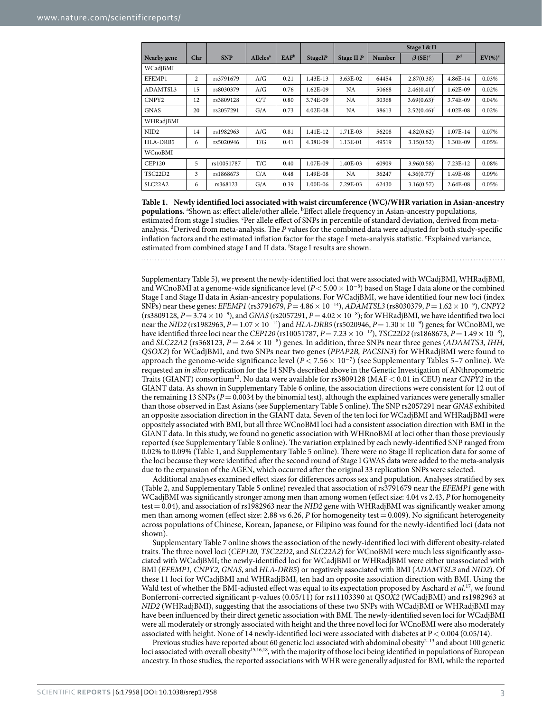<span id="page-2-0"></span>

|                                  |     |            |                            |                  |              |            | Stage I & II  |                           |                |            |  |
|----------------------------------|-----|------------|----------------------------|------------------|--------------|------------|---------------|---------------------------|----------------|------------|--|
| Nearby gene                      | Chr | <b>SNP</b> | <b>Alleles<sup>a</sup></b> | EAF <sup>b</sup> | StageIP      | Stage II P | <b>Number</b> | $\beta$ (SE) <sup>c</sup> | P <sup>d</sup> | $EV(\%)^e$ |  |
| WCadjBMI                         |     |            |                            |                  |              |            |               |                           |                |            |  |
| EFEMP1                           | 2   | rs3791679  | A/G                        | 0.21             | 1.43E-13     | 3.63E-02   | 64454         | 2.87(0.38)                | 4.86E-14       | 0.03%      |  |
| ADAMTSL3                         | 15  | rs8030379  | A/G                        | 0.76             | 1.62E-09     | NA         | 50668         | $2.46(0.41)^f$            | 1.62E-09       | 0.02%      |  |
| CNPY2                            | 12  | rs3809128  | C/T                        | 0.80             | 3.74E-09     | NA         | 30368         | $3.69(0.63)^f$            | 3.74E-09       | 0.04%      |  |
| <b>GNAS</b>                      | 20  | rs2057291  | G/A                        | 0.73             | $4.02E - 08$ | NA         | 38613         | $2.52(0.46)^f$            | $4.02E-08$     | 0.02%      |  |
| WHRadjBMI                        |     |            |                            |                  |              |            |               |                           |                |            |  |
| NID <sub>2</sub>                 | 14  | rs1982963  | A/G                        | 0.81             | 1.41E-12     | 1.71E-03   | 56208         | 4.82(0.62)                | 1.07E-14       | 0.07%      |  |
| HLA-DRB5                         | 6   | rs5020946  | T/G                        | 0.41             | 4.38E-09     | 1.13E-01   | 49519         | 3.15(0.52)                | 1.30E-09       | 0.05%      |  |
| WCnoBMI                          |     |            |                            |                  |              |            |               |                           |                |            |  |
| <b>CEP120</b>                    | 5   | rs10051787 | T/C                        | 0.40             | 1.07E-09     | 1.40E-03   | 60909         | 3.96(0.58)                | $7.23E-12$     | 0.08%      |  |
| TSC22D2                          | 3   | rs1868673  | C/A                        | 0.48             | 1.49E-08     | NA         | 36247         | $4.36(0.77)^f$            | 1.49E-08       | 0.09%      |  |
| SLC <sub>22</sub> A <sub>2</sub> | 6   | rs368123   | G/A                        | 0.39             | 1.00E-06     | 7.29E-03   | 62430         | 3.16(0.57)                | 2.64E-08       | 0.05%      |  |

**Table 1. Newly identified loci associated with waist circumference (WC)/WHR variation in Asian-ancestry populations.** <sup>a</sup> Shown as: effect allele/other allele. <sup>b</sup> Effect allele frequency in Asian-ancestry populations, estimated from stage I studies. <sup>c</sup>Per allele effect of SNPs in percentile of standard deviation, derived from metaanalysis. <sup>d</sup>Derived from meta-analysis. The *P* values for the combined data were adjusted for both study-specific inflation factors and the estimated inflation factor for the stage I meta-analysis statistic. <sup>e</sup>Explained variance, estimated from combined stage I and II data. f Stage I results are shown.

Supplementary Table 5), we present the newly-identified loci that were associated with WCadjBMI, WHRadjBMI, and WCnoBMI at a genome-wide significance level  $(P < 5.00 \times 10^{-8})$  based on Stage I data alone or the combined Stage I and Stage II data in Asian-ancestry populations. For WCadjBMI, we have identified four new loci (index SNPs) near these genes: *EFEMP1* (rs3791679, *P*= 4.86× 10<sup>−</sup>14), *ADAMTSL3* (rs8030379, *P*= 1.62× 10<sup>−</sup><sup>9</sup> ), *CNPY2* (rs3809128, *P*= 3.74× 10<sup>−</sup><sup>9</sup> ), and *GNAS* (rs2057291, *P*= 4.02× 10<sup>−</sup><sup>8</sup> ); for WHRadjBMI, we have identified two loci near the *NID2* (rs1982963, *P*= 1.07× 10<sup>−</sup>14) and *HLA-DRB5* (rs5020946, *P*= 1.30× 10<sup>−</sup><sup>9</sup> ) genes; for WCnoBMI, we have identified three loci near the *CEP120* (rs10051787, *P*= 7.23× 10<sup>−</sup>12), *TSC22D2* (rs1868673, *P*= 1.49× 10<sup>−</sup><sup>8</sup> ), and *SLC22A2* (rs368123, *P*= 2.64× 10<sup>−</sup><sup>8</sup> ) genes. In addition, three SNPs near three genes (*ADAMTS3, IHH, QSOX2*) for WCadjBMI, and two SNPs near two genes (*PPAP2B, PACSIN3*) for WHRadjBMI were found to approach the genome-wide significance level (*P*< 7.56× 10<sup>−</sup><sup>7</sup> ) (see Supplementary Tables 5–7 online). We requested an *in silico* replication for the 14 SNPs described above in the Genetic Investigation of ANthropometric Traits (GIANT) consortium[13](#page-6-6). No data were available for rs3809128 (MAF< 0.01 in CEU) near *CNPY2* in the GIANT data. As shown in Supplementary Table 6 online, the association directions were consistent for 12 out of the remaining 13 SNPs ( $P = 0.0034$  by the binomial test), although the explained variances were generally smaller than those observed in East Asians (see Supplementary Table 5 online). The SNP rs2057291 near *GNAS* exhibited an opposite association direction in the GIANT data. Seven of the ten loci for WCadjBMI and WHRadjBMI were oppositely associated with BMI, but all three WCnoBMI loci had a consistent association direction with BMI in the GIANT data. In this study, we found no genetic association with WHRnoBMI at loci other than those previously reported (see Supplementary Table 8 online). The variation explained by each newly-identified SNP ranged from 0.02% to 0.09% ([Table 1](#page-2-0), and Supplementary Table 5 online). There were no Stage II replication data for some of the loci because they were identified after the second round of Stage I GWAS data were added to the meta-analysis due to the expansion of the AGEN, which occurred after the original 33 replication SNPs were selected.

Additional analyses examined effect sizes for differences across sex and population. Analyses stratified by sex ([Table 2](#page-4-0), and Supplementary Table 5 online) revealed that association of rs3791679 near the *EFEMP1* gene with WCadjBMI was significantly stronger among men than among women (effect size: 4.04 vs 2.43, *P* for homogeneity test= 0.04), and association of rs1982963 near the *NID2* gene with WHRadjBMI was significantly weaker among men than among women (effect size: 2.88 vs 6.26, *P* for homogeneity test = 0.009). No significant heterogeneity across populations of Chinese, Korean, Japanese, or Filipino was found for the newly-identified loci (data not shown).

Supplementary Table 7 online shows the association of the newly-identified loci with different obesity-related traits. The three novel loci (*CEP120, TSC22D2*, and *SLC22A2*) for WCnoBMI were much less significantly associated with WCadjBMI; the newly-identified loci for WCadjBMI or WHRadjBMI were either unassociated with BMI (*EFEMP1, CNPY2, GNAS*, and *HLA-DRB5*) or negatively associated with BMI (*ADAMTSL3* and *NID2*). Of these 11 loci for WCadjBMI and WHRadjBMI, ten had an opposite association direction with BMI. Using the Wald test of whether the BMI-adjusted effect was equal to its expectation proposed by Aschard *et al.*[17](#page-6-7), we found Bonferroni-corrected significant p-values (0.05/11) for rs11103390 at *QSOX2* (WCadjBMI) and rs1982963 at *NID2* (WHRadjBMI), suggesting that the associations of these two SNPs with WCadjBMI or WHRadjBMI may have been influenced by their direct genetic association with BMI. The newly-identified seven loci for WCadjBMI were all moderately or strongly associated with height and the three novel loci for WCnoBMI were also moderately associated with height. None of 14 newly-identified loci were associated with diabetes at P< 0.004 (0.05/14).

Previous studies have reported about 60 genetic loci associated with abdominal obesity<sup>2-13</sup> and about 100 genetic loci associated with overall obesity<sup>15,[16](#page-6-5),[18](#page-6-8)</sup>, with the majority of those loci being identified in populations of European ancestry. In those studies, the reported associations with WHR were generally adjusted for BMI, while the reported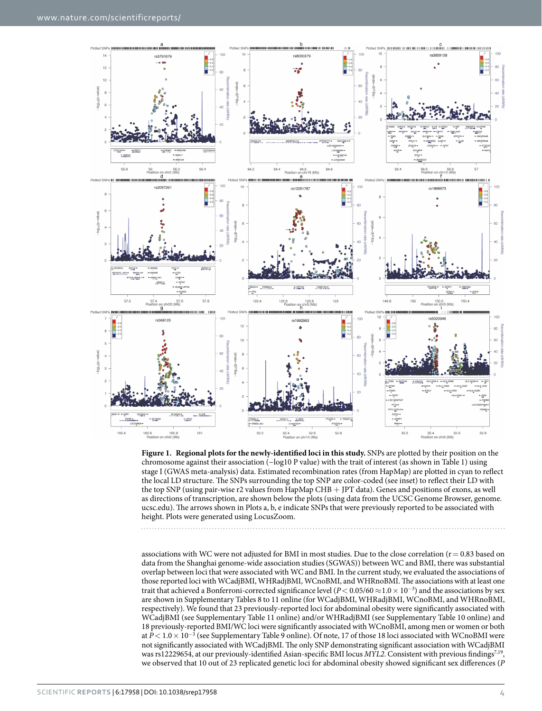

<span id="page-3-0"></span>**Figure 1. Regional plots for the newly-identified loci in this study.** SNPs are plotted by their position on the chromosome against their association (−log10 P value) with the trait of interest (as shown in Table 1) using stage I (GWAS meta-analysis) data. Estimated recombination rates (from HapMap) are plotted in cyan to reflect the local LD structure. The SNPs surrounding the top SNP are color-coded (see inset) to reflect their LD with the top SNP (using pair-wise r2 values from HapMap CHB + JPT data). Genes and positions of exons, as well as directions of transcription, are shown below the plots (using data from the UCSC Genome Browser, genome. ucsc.edu). The arrows shown in Plots a, b, e indicate SNPs that were previously reported to be associated with height. Plots were generated using LocusZoom.

associations with WC were not adjusted for BMI in most studies. Due to the close correlation ( $r = 0.83$  based on data from the Shanghai genome-wide association studies (SGWAS)) between WC and BMI, there was substantial overlap between loci that were associated with WC and BMI. In the current study, we evaluated the associations of those reported loci with WCadjBMI, WHRadjBMI, WCnoBMI, and WHRnoBMI. The associations with at least one trait that achieved a Bonferroni-corrected significance level (*P*< 0.05/60 ≈1.0× 10<sup>−</sup><sup>3</sup> ) and the associations by sex are shown in Supplementary Tables 8 to 11 online (for WCadjBMI, WHRadjBMI, WCnoBMI, and WHRnoBMI, respectively). We found that 23 previously-reported loci for abdominal obesity were significantly associated with WCadjBMI (see Supplementary Table 11 online) and/or WHRadjBMI (see Supplementary Table 10 online) and 18 previously-reported BMI/WC loci were significantly associated with WCnoBMI, among men or women or both at *P* < 1.0 × 10<sup>-3</sup> (see Supplementary Table 9 online). Of note, 17 of those 18 loci associated with WCnoBMI were not significantly associated with WCadjBMI. The only SNP demonstrating significant association with WCadjBMI was rs12229654, at our previously-identified Asian-specific BMI locus *MYL2*. Consistent with previous findings<sup>7,19</sup>, we observed that 10 out of 23 replicated genetic loci for abdominal obesity showed significant sex differences (*P*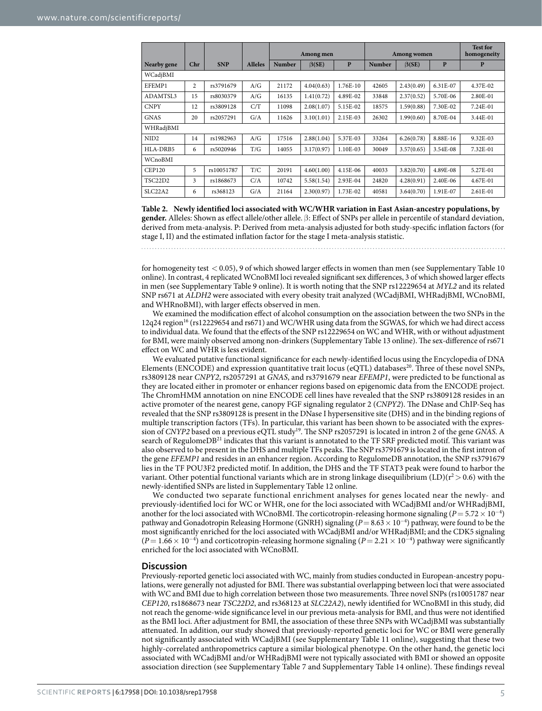<span id="page-4-0"></span>

|                                  |     |            |                | Among men     |              |          | Among women   |              |          | <b>Test for</b><br>homogeneity |  |
|----------------------------------|-----|------------|----------------|---------------|--------------|----------|---------------|--------------|----------|--------------------------------|--|
| Nearby gene                      | Chr | <b>SNP</b> | <b>Alleles</b> | <b>Number</b> | $\beta$ (SE) | P        | <b>Number</b> | $\beta$ (SE) | P        | P                              |  |
| WCadjBMI                         |     |            |                |               |              |          |               |              |          |                                |  |
| EFEMP1                           | 2   | rs3791679  | A/G            | 21172         | 4.04(0.63)   | 1.76E-10 | 42605         | 2.43(0.49)   | 6.31E-07 | 4.37E-02                       |  |
| ADAMTSL3                         | 15  | rs8030379  | A/G            | 16135         | 1.41(0.72)   | 4.89E-02 | 33848         | 2.37(0.52)   | 5.70E-06 | 2.80E-01                       |  |
| <b>CNPY</b>                      | 12  | rs3809128  | C/T            | 11098         | 2.08(1.07)   | 5.15E-02 | 18575         | 1.59(0.88)   | 7.30E-02 | 7.24E-01                       |  |
| <b>GNAS</b>                      | 20  | rs2057291  | G/A            | 11626         | 3.10(1.01)   | 2.15E-03 | 26302         | 1.99(0.60)   | 8.70E-04 | 3.44E-01                       |  |
| WHRadjBMI                        |     |            |                |               |              |          |               |              |          |                                |  |
| NID <sub>2</sub>                 | 14  | rs1982963  | A/G            | 17516         | 2.88(1.04)   | 5.37E-03 | 33264         | 6.26(0.78)   | 8.88E-16 | 9.32E-03                       |  |
| HLA-DRB5                         | 6   | rs5020946  | T/G            | 14055         | 3.17(0.97)   | 1.10E-03 | 30049         | 3.57(0.65)   | 3.54E-08 | 7.32E-01                       |  |
| WCnoBMI                          |     |            |                |               |              |          |               |              |          |                                |  |
| <b>CEP120</b>                    | 5   | rs10051787 | T/C            | 20191         | 4.60(1.00)   | 4.15E-06 | 40033         | 3.82(0.70)   | 4.89E-08 | 5.27E-01                       |  |
| TSC22D2                          | 3   | rs1868673  | C/A            | 10742         | 5.58(1.54)   | 2.93E-04 | 24820         | 4.28(0.91)   | 2.40E-06 | 4.67E-01                       |  |
| SLC <sub>22</sub> A <sub>2</sub> | 6   | rs368123   | G/A            | 21164         | 2.30(0.97)   | 1.73E-02 | 40581         | 3.64(0.70)   | 1.91E-07 | 2.61E-01                       |  |

**Table 2. Newly identified loci associated with WC/WHR variation in East Asian-ancestry populations, by gender.** Alleles: Shown as effect allele/other allele. β: Effect of SNPs per allele in percentile of standard deviation, derived from meta-analysis. P: Derived from meta-analysis adjusted for both study-specific inflation factors (for stage I, II) and the estimated inflation factor for the stage I meta-analysis statistic.

for homogeneity test < 0.05), 9 of which showed larger effects in women than men (see Supplementary Table 10 online). In contrast, 4 replicated WCnoBMI loci revealed significant sex differences, 3 of which showed larger effects in men (see Supplementary Table 9 online). It is worth noting that the SNP rs12229654 at *MYL2* and its related SNP rs671 at *ALDH2* were associated with every obesity trait analyzed (WCadjBMI, WHRadjBMI, WCnoBMI, and WHRnoBMI), with larger effects observed in men.

We examined the modification effect of alcohol consumption on the association between the two SNPs in the 12q24 region<sup>[16](#page-6-5)</sup> (rs12229654 and rs671) and WC/WHR using data from the SGWAS, for which we had direct access to individual data. We found that the effects of the SNP rs12229654 on WC and WHR, with or without adjustment for BMI, were mainly observed among non-drinkers (Supplementary Table 13 online). The sex-difference of rs671 effect on WC and WHR is less evident.

We evaluated putative functional significance for each newly-identified locus using the Encyclopedia of DNA Elements (ENCODE) and expression quantitative trait locus (eQTL) databases<sup>[20](#page-6-11)</sup>. Three of these novel SNPs, rs3809128 near *CNPY2*, rs2057291 at *GNAS*, and rs3791679 near *EFEMP1*, were predicted to be functional as they are located either in promoter or enhancer regions based on epigenomic data from the ENCODE project. The ChromHMM annotation on nine ENCODE cell lines have revealed that the SNP rs3809128 resides in an active promoter of the nearest gene, canopy FGF signaling regulator 2 (*CNPY2*). The DNase and ChIP-Seq has revealed that the SNP rs3809128 is present in the DNase I hypersensitive site (DHS) and in the binding regions of multiple transcription factors (TFs). In particular, this variant has been shown to be associated with the expression of *CNYP2* based on a previous eQTL study[19.](#page-6-10) The SNP rs2057291 is located in intron 2 of the gene *GNAS*. A search of RegulomeDB<sup>21</sup> indicates that this variant is annotated to the TF SRF predicted motif. This variant was also observed to be present in the DHS and multiple TFs peaks. The SNP rs3791679 is located in the first intron of the gene *EFEMP1* and resides in an enhancer region. According to RegulomeDB annotation, the SNP rs3791679 lies in the TF POU3F2 predicted motif. In addition, the DHS and the TF STAT3 peak were found to harbor the variant. Other potential functional variants which are in strong linkage disequilibrium (LD)( $r^2 > 0.6$ ) with the newly-identified SNPs are listed in Supplementary Table 12 online.

We conducted two separate functional enrichment analyses for genes located near the newly- and previously-identified loci for WC or WHR, one for the loci associated with WCadjBMI and/or WHRadjBMI, another for the loci associated with WCnoBMI. The corticotropin-releasing hormone signaling ( $P = 5.72 \times 10^{-4}$ ) pathway and Gonadotropin Releasing Hormone (GNRH) signaling (*P*= 8.63× 10<sup>−</sup><sup>4</sup> ) pathway, were found to be the most significantly enriched for the loci associated with WCadjBMI and/or WHRadjBMI; and the CDK5 signaling  $(P = 1.66 \times 10^{-4})$  and corticotropin-releasing hormone signaling  $(P = 2.21 \times 10^{-4})$  pathway were significantly enriched for the loci associated with WCnoBMI.

#### **Discussion**

Previously-reported genetic loci associated with WC, mainly from studies conducted in European-ancestry populations, were generally not adjusted for BMI. There was substantial overlapping between loci that were associated with WC and BMI due to high correlation between those two measurements. Three novel SNPs (rs10051787 near *CEP120*, rs1868673 near *TSC22D2*, and rs368123 at *SLC22A2*), newly identified for WCnoBMI in this study, did not reach the genome-wide significance level in our previous meta-analysis for BMI, and thus were not identified as the BMI loci. After adjustment for BMI, the association of these three SNPs with WCadjBMI was substantially attenuated. In addition, our study showed that previously-reported genetic loci for WC or BMI were generally not significantly associated with WCadjBMI (see Supplementary Table 11 online), suggesting that these two highly-correlated anthropometrics capture a similar biological phenotype. On the other hand, the genetic loci associated with WCadjBMI and/or WHRadjBMI were not typically associated with BMI or showed an opposite association direction (see Supplementary Table 7 and Supplementary Table 14 online). These findings reveal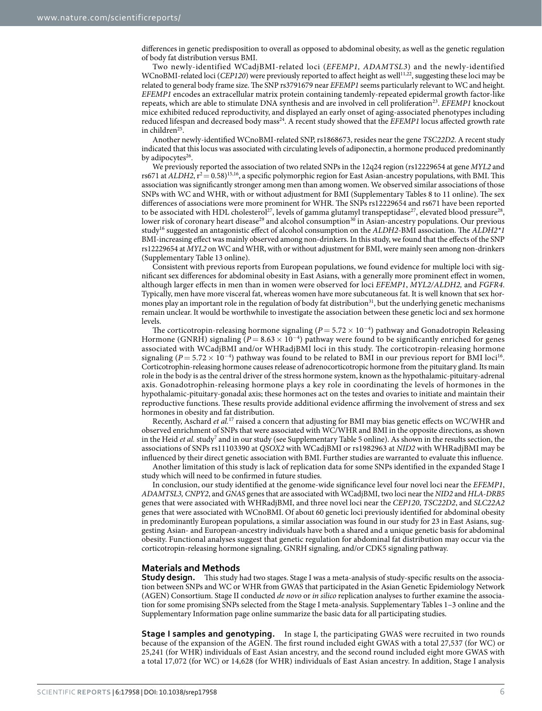differences in genetic predisposition to overall as opposed to abdominal obesity, as well as the genetic regulation of body fat distribution versus BMI.

Two newly-identified WCadjBMI-related loci (*EFEMP1, ADAMTSL3*) and the newly-identified WCnoBMI-related loci (*CEP120*) were previously reported to affect height as well<sup>11,[22](#page-7-0)</sup>, suggesting these loci may be related to general body frame size. The SNP rs3791679 near *EFEMP1* seems particularly relevant to WC and height. *EFEMP1* encodes an extracellular matrix protein containing tandemly-repeated epidermal growth factor-like repeats, which are able to stimulate DNA synthesis and are involved in cell proliferatio[n23](#page-7-1). *EFEMP1* knockout mice exhibited reduced reproductivity, and displayed an early onset of aging-associated phenotypes including reduced lifespan and decreased body mas[s24.](#page-7-2) A recent study showed that the *EFEMP1* locus affected growth rate in children<sup>[25](#page-7-3)</sup>.

Another newly-identified WCnoBMI-related SNP, rs1868673, resides near the gene *TSC22D2*. A recent study indicated that this locus was associated with circulating levels of adiponectin, a hormone produced predominantly by adipocytes<sup>26</sup>.

We previously reported the association of two related SNPs in the 12q24 region (rs12229654 at gene *MYL2* and rs671 at *ALDH2*,  $r^2 = 0.58$ <sup>[15](#page-6-4),[16](#page-6-5)</sup>, a specific polymorphic region for East Asian-ancestry populations, with BMI. This association was significantly stronger among men than among women. We observed similar associations of those SNPs with WC and WHR, with or without adjustment for BMI (Supplementary Tables 8 to 11 online). The sex differences of associations were more prominent for WHR. The SNPs rs12229654 and rs671 have been reported to be associated with HDL cholesterol<sup>[27](#page-7-5)</sup>, levels of gamma glutamyl transpeptidase<sup>27</sup>, elevated blood pressure<sup>28</sup>, lower risk of coronary heart disease<sup>[29](#page-7-7)</sup> and alcohol consumption<sup>30</sup> in Asian-ancestry populations. Our previous stud[y16](#page-6-5) suggested an antagonistic effect of alcohol consumption on the *ALDH2*-BMI association. The *ALDH2\*1* BMI-increasing effect was mainly observed among non-drinkers. In this study, we found that the effects of the SNP rs12229654 at *MYL2* on WC and WHR, with or without adjustment for BMI, were mainly seen among non-drinkers (Supplementary Table 13 online).

Consistent with previous reports from European populations, we found evidence for multiple loci with significant sex differences for abdominal obesity in East Asians, with a generally more prominent effect in women, although larger effects in men than in women were observed for loci *EFEMP1*, *MYL2/ALDH2,* and *FGFR4*. Typically, men have more visceral fat, whereas women have more subcutaneous fat. It is well known that sex hormones play an important role in the regulation of body fat distribution<sup>31</sup>, but the underlying genetic mechanisms remain unclear. It would be worthwhile to investigate the association between these genetic loci and sex hormone levels.

The corticotropin-releasing hormone signaling ( $P = 5.72 \times 10^{-4}$ ) pathway and Gonadotropin Releasing Hormone (GNRH) signaling ( $P = 8.63 \times 10^{-4}$ ) pathway were found to be significantly enriched for genes associated with WCadjBMI and/or WHRadjBMI loci in this study. The corticotropin-releasing hormone signaling ( $P = 5.72 \times 10^{-4}$ ) pathway was found to be related to BMI in our previous report for BMI loci<sup>16</sup>. Corticotrophin-releasing hormone causes release of adrenocorticotropic hormone from the pituitary gland. Its main role in the body is as the central driver of the stress hormone system, known as the hypothalamic-pituitary-adrenal axis. Gonadotrophin-releasing hormone plays a key role in coordinating the levels of hormones in the hypothalamic-pituitary-gonadal axis; these hormones act on the testes and ovaries to initiate and maintain their reproductive functions. These results provide additional evidence affirming the involvement of stress and sex hormones in obesity and fat distribution.

Recently, Aschard *et al.*[17](#page-6-7) raised a concern that adjusting for BMI may bias genetic effects on WC/WHR and observed enrichment of SNPs that were associated with WC/WHR and BMI in the opposite directions, as shown in the Heid et al. study<sup>[7](#page-6-9)</sup> and in our study (see Supplementary Table 5 online). As shown in the results section, the associations of SNPs rs11103390 at *QSOX2* with WCadjBMI or rs1982963 at *NID2* with WHRadjBMI may be influenced by their direct genetic association with BMI. Further studies are warranted to evaluate this influence.

Another limitation of this study is lack of replication data for some SNPs identified in the expanded Stage I study which will need to be confirmed in future studies.

In conclusion, our study identified at the genome-wide significance level four novel loci near the *EFEMP1*, *ADAMTSL3, CNPY2*, and *GNAS* genes that are associated with WCadjBMI, two loci near the *NID2* and *HLA-DRB5* genes that were associated with WHRadjBMI, and three novel loci near the *CEP120*, *TSC22D2*, and *SLC22A2* genes that were associated with WCnoBMI. Of about 60 genetic loci previously identified for abdominal obesity in predominantly European populations, a similar association was found in our study for 23 in East Asians, suggesting Asian- and European-ancestry individuals have both a shared and a unique genetic basis for abdominal obesity. Functional analyses suggest that genetic regulation for abdominal fat distribution may occur via the corticotropin-releasing hormone signaling, GNRH signaling, and/or CDK5 signaling pathway.

#### **Materials and Methods**

**Study design.** This study had two stages. Stage I was a meta-analysis of study-specific results on the association between SNPs and WC or WHR from GWAS that participated in the Asian Genetic Epidemiology Network (AGEN) Consortium. Stage II conducted *de novo* or *in silico* replication analyses to further examine the association for some promising SNPs selected from the Stage I meta-analysis. Supplementary Tables 1–3 online and the Supplementary Information page online summarize the basic data for all participating studies.

**Stage I samples and genotyping.** In stage I, the participating GWAS were recruited in two rounds because of the expansion of the AGEN. The first round included eight GWAS with a total 27,537 (for WC) or 25,241 (for WHR) individuals of East Asian ancestry, and the second round included eight more GWAS with a total 17,072 (for WC) or 14,628 (for WHR) individuals of East Asian ancestry. In addition, Stage I analysis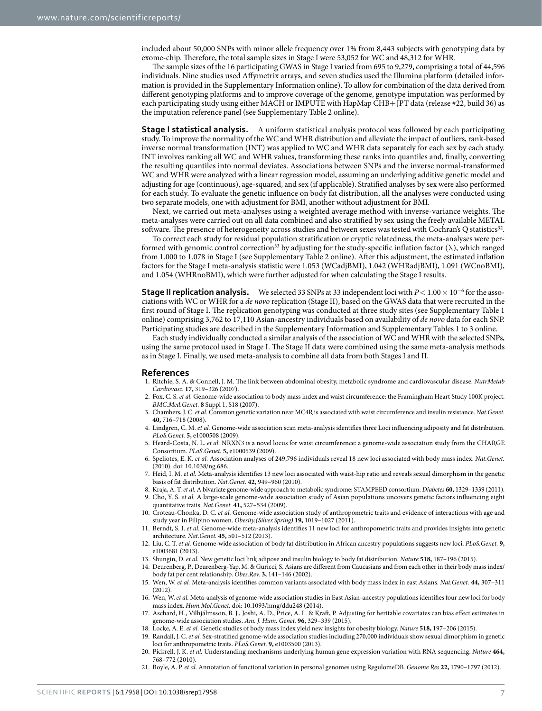included about 50,000 SNPs with minor allele frequency over 1% from 8,443 subjects with genotyping data by exome-chip. Therefore, the total sample sizes in Stage I were 53,052 for WC and 48,312 for WHR.

The sample sizes of the 16 participating GWAS in Stage I varied from 695 to 9,279, comprising a total of 44,596 individuals. Nine studies used Affymetrix arrays, and seven studies used the Illumina platform (detailed information is provided in the Supplementary Information online). To allow for combination of the data derived from different genotyping platforms and to improve coverage of the genome, genotype imputation was performed by each participating study using either MACH or IMPUTE with HapMap CHB+JPT data (release #22, build 36) as the imputation reference panel (see Supplementary Table 2 online).

**Stage I statistical analysis.** A uniform statistical analysis protocol was followed by each participating study. To improve the normality of the WC and WHR distribution and alleviate the impact of outliers, rank-based inverse normal transformation (INT) was applied to WC and WHR data separately for each sex by each study. INT involves ranking all WC and WHR values, transforming these ranks into quantiles and, finally, converting the resulting quantiles into normal deviates. Associations between SNPs and the inverse normal-transformed WC and WHR were analyzed with a linear regression model, assuming an underlying additive genetic model and adjusting for age (continuous), age-squared, and sex (if applicable). Stratified analyses by sex were also performed for each study. To evaluate the genetic influence on body fat distribution, all the analyses were conducted using two separate models, one with adjustment for BMI, another without adjustment for BMI.

Next, we carried out meta-analyses using a weighted average method with inverse-variance weights. The meta-analyses were carried out on all data combined and also stratified by sex using the freely available METAL software. The presence of heterogeneity across studies and between sexes was tested with Cochran's Q statistics<sup>32</sup>.

To correct each study for residual population stratification or cryptic relatedness, the meta-analyses were per-formed with genomic control correction<sup>[33](#page-7-11)</sup> by adjusting for the study-specific inflation factor  $(\lambda)$ , which ranged from 1.000 to 1.078 in Stage I (see Supplementary Table 2 online). After this adjustment, the estimated inflation factors for the Stage I meta-analysis statistic were 1.053 (WCadjBMI), 1.042 (WHRadjBMI), 1.091 (WCnoBMI), and 1.054 (WHRnoBMI), which were further adjusted for when calculating the Stage I results.

**Stage II replication analysis.** We selected 33 SNPs at 33 independent loci with *P* < 1.00 × 10<sup>-6</sup> for the associations with WC or WHR for a *de novo* replication (Stage II), based on the GWAS data that were recruited in the first round of Stage I. The replication genotyping was conducted at three study sites (see Supplementary Table 1 online) comprising 3,762 to 17,110 Asian-ancestry individuals based on availability of *de novo* data for each SNP. Participating studies are described in the Supplementary Information and Supplementary Tables 1 to 3 online.

Each study individually conducted a similar analysis of the association of WC and WHR with the selected SNPs, using the same protocol used in Stage I. The Stage II data were combined using the same meta-analysis methods as in Stage I. Finally, we used meta-analysis to combine all data from both Stages I and II.

#### **References**

- <span id="page-6-0"></span>1. Ritchie, S. A. & Connell, J. M. The link between abdominal obesity, metabolic syndrome and cardiovascular disease. *NutrMetab Cardiovasc*. **17,** 319–326 (2007).
- <span id="page-6-1"></span>2. Fox, C. S. *et al.* Genome-wide association to body mass index and waist circumference: the Framingham Heart Study 100K project. *BMC.Med.Genet.* **8** Suppl 1, S18 (2007).
- 3. Chambers, J. C. *et al.* Common genetic variation near MC4R is associated with waist circumference and insulin resistance. *Nat.Genet.* **40,** 716–718 (2008).
- 4. Lindgren, C. M. *et al.* Genome-wide association scan meta-analysis identifies three Loci influencing adiposity and fat distribution. *PLoS.Genet.* **5,** e1000508 (2009).
- 5. Heard-Costa, N. L. *et al.* NRXN3 is a novel locus for waist circumference: a genome-wide association study from the CHARGE Consortium. *PLoS.Genet.* **5,** e1000539 (2009).
- 6. Speliotes, E. K. *et al.* Association analyses of 249,796 individuals reveal 18 new loci associated with body mass index. *Nat.Genet.* (2010). doi: 10.1038/ng.686.
- <span id="page-6-9"></span>7. Heid, I. M. *et al.* Meta-analysis identifies 13 new loci associated with waist-hip ratio and reveals sexual dimorphism in the genetic basis of fat distribution. *Nat.Genet.* **42,** 949–960 (2010).
- 8. Kraja, A. T. *et al.* A bivariate genome-wide approach to metabolic syndrome: STAMPEED consortium. *Diabetes* **60,** 1329–1339 (2011).
- <span id="page-6-2"></span>9. Cho, Y. S. *et al.* A large-scale genome-wide association study of Asian populations uncovers genetic factors influencing eight quantitative traits. *Nat.Genet.* **41,** 527–534 (2009).
- 10. Croteau-Chonka, D. C. *et al.* Genome-wide association study of anthropometric traits and evidence of interactions with age and study year in Filipino women. *Obesity.(Silver.Spring)* **19,** 1019–1027 (2011).
- <span id="page-6-13"></span>11. Berndt, S. I. *et al.* Genome-wide meta-analysis identifies 11 new loci for anthropometric traits and provides insights into genetic architecture. *Nat.Genet.* **45,** 501–512 (2013).
- 12. Liu, C. T. *et al.* Genome-wide association of body fat distribution in African ancestry populations suggests new loci. *PLoS.Genet.* **9,** e1003681 (2013).
- <span id="page-6-6"></span><span id="page-6-3"></span>13. Shungin, D. *et al.* New genetic loci link adipose and insulin biology to body fat distribution. *Nature* **518,** 187–196 (2015).
- 14. Deurenberg, P., Deurenberg-Yap, M. & Guricci, S. Asians are different from Caucasians and from each other in their body mass index/ body fat per cent relationship. *Obes.Rev.* **3,** 141–146 (2002).
- <span id="page-6-4"></span>15. Wen, W. *et al.* Meta-analysis identifies common variants associated with body mass index in east Asians. *Nat.Genet.* **44,** 307–311 (2012).
- <span id="page-6-5"></span>16. Wen, W. *et al.* Meta-analysis of genome-wide association studies in East Asian-ancestry populations identifies four new loci for body mass index. *Hum.Mol.Genet.* doi: 10.1093/hmg/ddu248 (2014).
- <span id="page-6-7"></span>17. Aschard, H., Vilhjálmsson, B. J., Joshi, A. D., Price, A. L. & Kraft, P. Adjusting for heritable covariates can bias effect estimates in genome-wide association studies. *Am. J. Hum. Genet.* **96,** 329–339 (2015).
- <span id="page-6-8"></span>18. Locke, A. E. *et al.* Genetic studies of body mass index yield new insights for obesity biology. *Nature* **518,** 197–206 (2015).
- <span id="page-6-10"></span>19. Randall, J. C. *et al.* Sex-stratified genome-wide association studies including 270,000 individuals show sexual dimorphism in genetic loci for anthropometric traits. *PLoS.Genet.* **9,** e1003500 (2013).
- <span id="page-6-11"></span>20. Pickrell, J. K. *et al.* Understanding mechanisms underlying human gene expression variation with RNA sequencing. *Nature* **464,** 768–772 (2010).
- <span id="page-6-12"></span>21. Boyle, A. P. *et al.* Annotation of functional variation in personal genomes using RegulomeDB. *Genome Res* **22,** 1790–1797 (2012).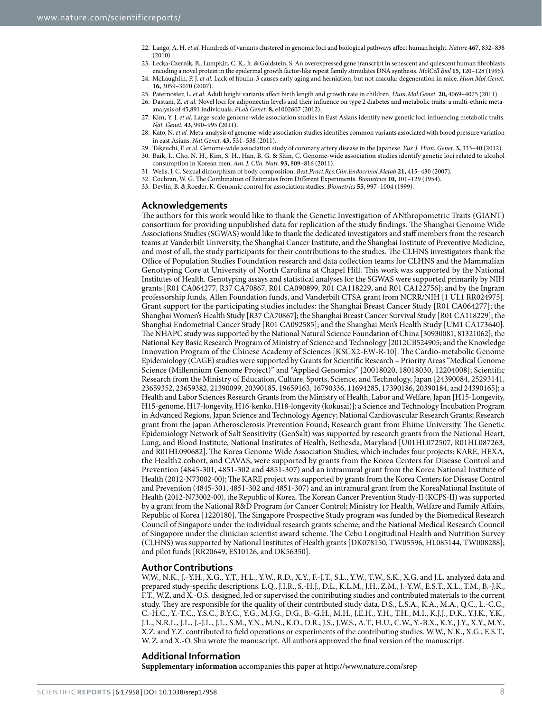- <span id="page-7-0"></span>22. Lango, A. H. *et al.* Hundreds of variants clustered in genomic loci and biological pathways affect human height. *Nature* **467,** 832–838 (2010).
- <span id="page-7-1"></span>23. Lecka-Czernik, B., Lumpkin, C. K., Jr. & Goldstein, S. An overexpressed gene transcript in senescent and quiescent human fibroblasts encoding a novel protein in the epidermal growth factor-like repeat family stimulates DNA synthesis. *MolCell Biol* **15,** 120–128 (1995).
- <span id="page-7-2"></span>24. McLaughlin, P. J. *et al.* Lack of fibulin-3 causes early aging and herniation, but not macular degeneration in mice. *Hum.Mol.Genet.* **16,** 3059–3070 (2007).
- <span id="page-7-3"></span>25. Paternoster, L. *et al.* Adult height variants affect birth length and growth rate in children. *Hum.Mol.Genet.* **20,** 4069–4075 (2011).
- <span id="page-7-4"></span>26. Dastani, Z. *et al.* Novel loci for adiponectin levels and their influence on type 2 diabetes and metabolic traits: a multi-ethnic metaanalysis of 45,891 individuals. *PLoS Genet.* **8,** e1002607 (2012).
- <span id="page-7-5"></span>27. Kim, Y. J. *et al.* Large-scale genome-wide association studies in East Asians identify new genetic loci influencing metabolic traits. *Nat. Genet.* **43,** 990–995 (2011).
- <span id="page-7-6"></span>28. Kato, N. *et al.* Meta-analysis of genome-wide association studies identifies common variants associated with blood pressure variation in east Asians. *Nat.Genet.* **43,** 531–538 (2011).
- <span id="page-7-7"></span>29. Takeuchi, F. *et al.* Genome-wide association study of coronary artery disease in the Japanese. *Eur. J. Hum. Genet.* **3,** 333–40 (2012).
- <span id="page-7-8"></span>30. Baik, I., Cho, N. H., Kim, S. H., Han, B. G. & Shin, C. Genome-wide association studies identify genetic loci related to alcohol consumption in Korean men. *Am. J. Clin. Nutr.* **93,** 809–816 (2011).
- <span id="page-7-9"></span>31. Wells, J. C. Sexual dimorphism of body composition. *Best.Pract.Res.Clin.Endocrinol.Metab* **21,** 415–430 (2007).
- <span id="page-7-10"></span>32. Cochran, W. G. The Combination of Estimates from Different Experiments. *Biometrics* **10,** 101–129 (1954).
- <span id="page-7-11"></span>33. Devlin, B. & Roeder, K. Genomic control for association studies. *Biometrics* **55,** 997–1004 (1999).

#### **Acknowledgements**

The authors for this work would like to thank the Genetic Investigation of ANthropometric Traits (GIANT) consortium for providing unpublished data for replication of the study findings. The Shanghai Genome Wide Associations Studies (SGWAS) would like to thank the dedicated investigators and staff members from the research teams at Vanderbilt University, the Shanghai Cancer Institute, and the Shanghai Institute of Preventive Medicine, and most of all, the study participants for their contributions to the studies. The CLHNS investigators thank the Office of Population Studies Foundation research and data collection teams for CLHNS and the Mammalian Genotyping Core at University of North Carolina at Chapel Hill. This work was supported by the National Institutes of Health. Genotyping assays and statistical analyses for the SGWAS were supported primarily by NIH grants [R01 CA064277, R37 CA70867, R01 CA090899, R01 CA118229, and R01 CA122756]; and by the Ingram professorship funds, Allen Foundation funds, and Vanderbilt CTSA grant from NCRR/NIH [1 UL1 RR024975]. Grant support for the participating studies includes: the Shanghai Breast Cancer Study [R01 CA064277]; the Shanghai Women's Health Study [R37 CA70867]; the Shanghai Breast Cancer Survival Study [R01 CA118229]; the Shanghai Endometrial Cancer Study [R01 CA092585]; and the Shanghai Men's Health Study [UM1 CA173640]. The NHAPC study was supported by the National Natural Science Foundation of China [30930081, 81321062]; the National Key Basic Research Program of Ministry of Science and Technology [2012CB524905; and the Knowledge Innovation Program of the Chinese Academy of Sciences [KSCX2-EW-R-10]. The Cardio-metabolic Genome Epidemiology (CAGE) studies were supported by Grants for Scientific Research – Priority Areas "Medical Genome Science (Millennium Genome Project)" and "Applied Genomics" [20018020, 18018030, 12204008]; Scientific Research from the Ministry of Education, Culture, Sports, Science, and Technology, Japan [24390084, 25293141, 23659352, 23659382, 21390099, 20390185, 19659163, 16790336, 11694285, 17390186, 20390184, and 24390165]; a Health and Labor Sciences Research Grants from the Ministry of Health, Labor and Welfare, Japan [H15-Longevity, H15-genome, H17-longevity, H16-kenko, H18-longevity (kokusai)]; a Science and Technology Incubation Program in Advanced Regions, Japan Science and Technology Agency; National Cardiovascular Research Grants; Research grant from the Japan Atherosclerosis Prevention Found; Research grant from Ehime University. The Genetic Epidemiology Network of Salt Sensitivity (GenSalt) was supported by research grants from the National Heart, Lung, and Blood Institute, National Institutes of Health, Bethesda, Maryland [U01HL072507, R01HL087263, and R01HL090682]. The Korea Genome Wide Association Studies, which includes four projects: KARE, HEXA, the Health2 cohort, and CAVAS, were supported by grants from the Korea Centers for Disease Control and Prevention (4845-301, 4851-302 and 4851-307) and an intramural grant from the Korea National Institute of Health (2012-N73002-00); The KARE project was supported by grants from the Korea Centers for Disease Control and Prevention (4845-301, 4851-302 and 4851-307) and an intramural grant from the KoreaNational Institute of Health (2012-N73002-00), the Republic of Korea. The Korean Cancer Prevention Study-II (KCPS-II) was supported by a grant from the National R&D Program for Cancer Control; Ministry for Health, Welfare and Family Affairs, Republic of Korea [1220180]. The Singapore Prospective Study program was funded by the Biomedical Research Council of Singapore under the individual research grants scheme; and the National Medical Research Council of Singapore under the clinician scientist award scheme. The Cebu Longitudinal Health and Nutrition Survey (CLHNS) was supported by National Institutes of Health grants [DK078150, TW05596, HL085144, TW008288]; and pilot funds [RR20649, ES10126, and DK56350].

#### **Author Contributions**

W.W., N.K., J.-Y.H., X.G., Y.T., H.L., Y.W., R.D., X.Y., F.-J.T., S.L., Y.W., T.W., S.K., X.G. and J.L. analyzed data and prepared study-specific descriptions. L.Q., J.I.R., S.-H.J., D.L., K.L.M., J.H., Z.M., J.-Y.W., E.S.T., X.L., T.M., B.-J.K., F.T., W.Z. and X.-O.S. designed, led or supervised the contributing studies and contributed materials to the current study. They are responsible for the quality of their contributed study data. D.S., L.S.A., K.A., M.A., Q.C., L.-C.C., C.-H.C., Y.-T.C., Y.S.C., B.Y.C., Y.G., M.J.G., D.G., B.-G.H., M.H., J.E.H., Y.H., T.H., M.I., K.J.J., D.K., Y.J.K., Y.K., J.L., N.R.L., J.L., J.-J.L., J.L., S.M., Y.N., M.N., K.O., D.R., J.S., J.W.S., A.T., H.U., C.W., Y.-B.X., K.Y., J.Y., X.Y., M.Y., X.Z. and Y.Z. contributed to field operations or experiments of the contributing studies. W.W., N.K., X.G., E.S.T., W. Z. and X.-O. Shu wrote the manuscript. All authors approved the final version of the manuscript.

### **Additional Information**

**Supplementary information** accompanies this paper at <http://www.nature.com/srep>